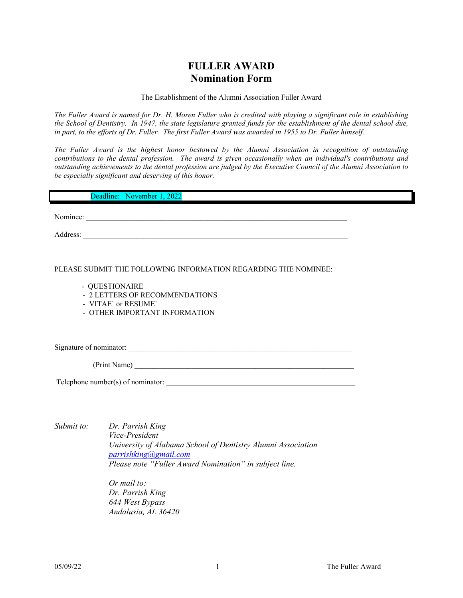### **FULLER AWARD Nomination Form**

The Establishment of the Alumni Association Fuller Award

*The Fuller Award is named for Dr. H. Moren Fuller who is credited with playing a significant role in establishing the School of Dentistry. In 1947, the state legislature granted funds for the establishment of the dental school due, in part, to the efforts of Dr. Fuller. The first Fuller Award was awarded in 1955 to Dr. Fuller himself.*

*The Fuller Award is the highest honor bestowed by the Alumni Association in recognition of outstanding contributions to the dental profession. The award is given occasionally when an individual's contributions and outstanding achievements to the dental profession are judged by the Executive Council of the Alumni Association to be especially significant and deserving of this honor.*

| Deadline: November 1, 2022                                     |  |
|----------------------------------------------------------------|--|
| Nominee:                                                       |  |
| Address:                                                       |  |
|                                                                |  |
| PLEASE SUBMIT THE FOLLOWING INFORMATION REGARDING THE NOMINEE: |  |

- QUESTIONAIRE
- 2 LETTERS OF RECOMMENDATIONS
- VITAE` or RESUME`
- OTHER IMPORTANT INFORMATION

Signature of nominator: \_\_\_\_\_\_\_\_\_\_\_\_\_\_\_\_\_\_\_\_\_\_\_\_\_\_\_\_\_\_\_\_\_\_\_\_\_\_\_\_\_\_\_\_\_\_\_\_\_\_\_\_\_\_\_\_\_\_\_

(Print Name) \_\_\_\_\_\_\_\_\_\_\_\_\_\_\_\_\_\_\_\_\_\_\_\_\_\_\_\_\_\_\_\_\_\_\_\_\_\_\_\_\_\_\_\_\_\_\_\_\_\_\_\_\_\_\_\_\_\_

Telephone number(s) of nominator:

*Submit to: Dr. Parrish King* 

*Vice-President University of Alabama School of Dentistry Alumni Association [parrishking@gmail.com](mailto:parrishking@gmail.com) Please note "Fuller Award Nomination" in subject line.* 

*Or mail to: Dr. Parrish King 644 West Bypass Andalusia, AL 36420*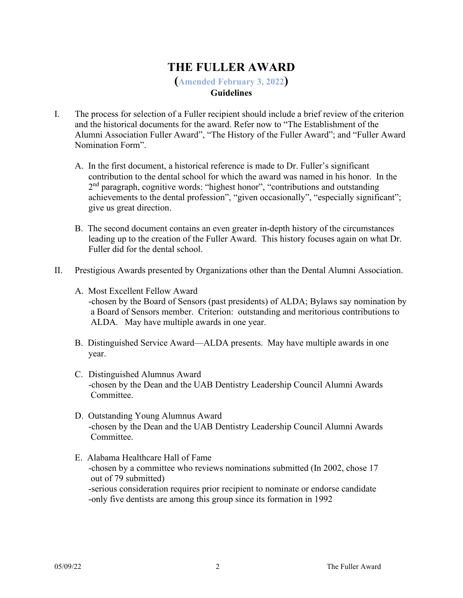# **THE FULLER AWARD**

**(Amended February 3, 2022) Guidelines**

### I. The process for selection of a Fuller recipient should include a brief review of the criterion and the historical documents for the award. Refer now to "The Establishment of the Alumni Association Fuller Award", "The History of the Fuller Award"; and "Fuller Award Nomination Form".

- A. In the first document, a historical reference is made to Dr. Fuller's significant contribution to the dental school for which the award was named in his honor. In the 2<sup>nd</sup> paragraph, cognitive words: "highest honor", "contributions and outstanding achievements to the dental profession", "given occasionally", "especially significant"; give us great direction.
- B. The second document contains an even greater in-depth history of the circumstances leading up to the creation of the Fuller Award. This history focuses again on what Dr. Fuller did for the dental school.
- II. Prestigious Awards presented by Organizations other than the Dental Alumni Association.
	- A. Most Excellent Fellow Award -chosen by the Board of Sensors (past presidents) of ALDA; Bylaws say nomination by a Board of Sensors member. Criterion: outstanding and meritorious contributions to ALDA. May have multiple awards in one year.
	- B. Distinguished Service Award—ALDA presents. May have multiple awards in one year.
	- C. Distinguished Alumnus Award -chosen by the Dean and the UAB Dentistry Leadership Council Alumni Awards Committee.
	- D. Outstanding Young Alumnus Award -chosen by the Dean and the UAB Dentistry Leadership Council Alumni Awards Committee.
	- E. Alabama Healthcare Hall of Fame -chosen by a committee who reviews nominations submitted (In 2002, chose 17 out of 79 submitted) -serious consideration requires prior recipient to nominate or endorse candidate -only five dentists are among this group since its formation in 1992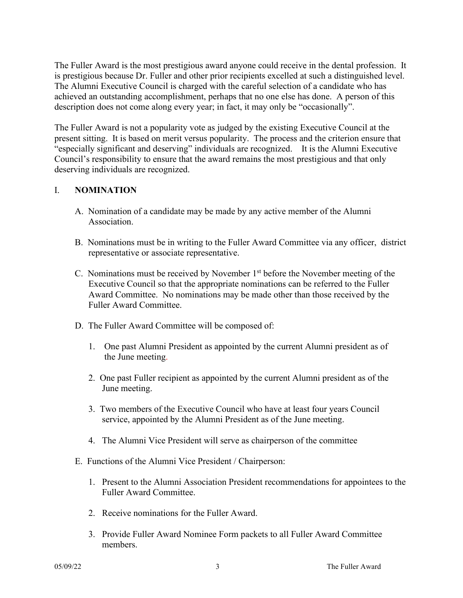The Fuller Award is the most prestigious award anyone could receive in the dental profession. It is prestigious because Dr. Fuller and other prior recipients excelled at such a distinguished level. The Alumni Executive Council is charged with the careful selection of a candidate who has achieved an outstanding accomplishment, perhaps that no one else has done. A person of this description does not come along every year; in fact, it may only be "occasionally".

The Fuller Award is not a popularity vote as judged by the existing Executive Council at the present sitting. It is based on merit versus popularity. The process and the criterion ensure that "especially significant and deserving" individuals are recognized. It is the Alumni Executive Council's responsibility to ensure that the award remains the most prestigious and that only deserving individuals are recognized.

#### I. **NOMINATION**

- A. Nomination of a candidate may be made by any active member of the Alumni Association.
- B. Nominations must be in writing to the Fuller Award Committee via any officer, district representative or associate representative.
- C. Nominations must be received by November 1st before the November meeting of the Executive Council so that the appropriate nominations can be referred to the Fuller Award Committee. No nominations may be made other than those received by the Fuller Award Committee.
- D. The Fuller Award Committee will be composed of:
	- 1. One past Alumni President as appointed by the current Alumni president as of the June meeting.
	- 2. One past Fuller recipient as appointed by the current Alumni president as of the June meeting.
	- 3. Two members of the Executive Council who have at least four years Council service, appointed by the Alumni President as of the June meeting.
	- 4. The Alumni Vice President will serve as chairperson of the committee
- E. Functions of the Alumni Vice President / Chairperson:
	- 1. Present to the Alumni Association President recommendations for appointees to the Fuller Award Committee.
	- 2. Receive nominations for the Fuller Award.
	- 3. Provide Fuller Award Nominee Form packets to all Fuller Award Committee members.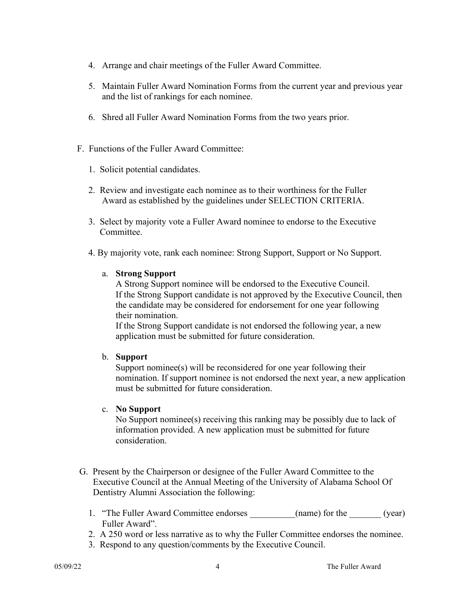- 4. Arrange and chair meetings of the Fuller Award Committee.
- 5. Maintain Fuller Award Nomination Forms from the current year and previous year and the list of rankings for each nominee.
- 6. Shred all Fuller Award Nomination Forms from the two years prior.
- F. Functions of the Fuller Award Committee:
	- 1. Solicit potential candidates.
	- 2. Review and investigate each nominee as to their worthiness for the Fuller Award as established by the guidelines under SELECTION CRITERIA.
	- 3. Select by majority vote a Fuller Award nominee to endorse to the Executive Committee.
	- 4. By majority vote, rank each nominee: Strong Support, Support or No Support.
		- a. **Strong Support**

A Strong Support nominee will be endorsed to the Executive Council. If the Strong Support candidate is not approved by the Executive Council, then the candidate may be considered for endorsement for one year following their nomination.

 If the Strong Support candidate is not endorsed the following year, a new application must be submitted for future consideration.

#### b. **Support**

Support nominee(s) will be reconsidered for one year following their nomination. If support nominee is not endorsed the next year, a new application must be submitted for future consideration.

#### c. **No Support**

No Support nominee(s) receiving this ranking may be possibly due to lack of information provided. A new application must be submitted for future consideration.

- G. Present by the Chairperson or designee of the Fuller Award Committee to the Executive Council at the Annual Meeting of the University of Alabama School Of Dentistry Alumni Association the following:
	- 1. "The Fuller Award Committee endorses \_\_\_\_\_\_\_\_(name) for the \_\_\_\_\_\_(year) Fuller Award".
	- 2. A 250 word or less narrative as to why the Fuller Committee endorses the nominee.
	- 3. Respond to any question/comments by the Executive Council.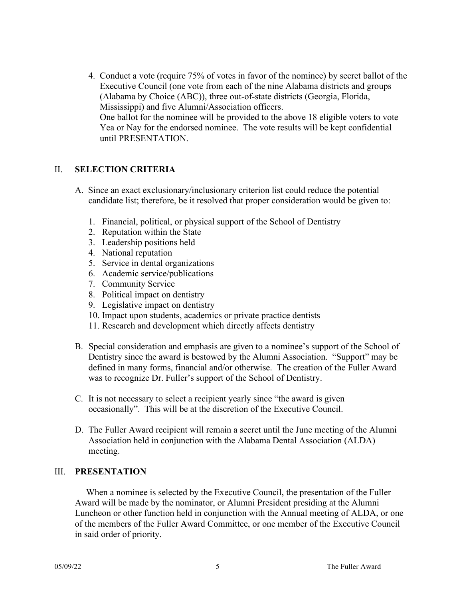4. Conduct a vote (require 75% of votes in favor of the nominee) by secret ballot of the Executive Council (one vote from each of the nine Alabama districts and groups (Alabama by Choice (ABC)), three out-of-state districts (Georgia, Florida, Mississippi) and five Alumni/Association officers. One ballot for the nominee will be provided to the above 18 eligible voters to vote Yea or Nay for the endorsed nominee. The vote results will be kept confidential until PRESENTATION.

#### II. **SELECTION CRITERIA**

- A. Since an exact exclusionary/inclusionary criterion list could reduce the potential candidate list; therefore, be it resolved that proper consideration would be given to:
	- 1. Financial, political, or physical support of the School of Dentistry
	- 2. Reputation within the State
	- 3. Leadership positions held
	- 4. National reputation
	- 5. Service in dental organizations
	- 6. Academic service/publications
	- 7. Community Service
	- 8. Political impact on dentistry
	- 9. Legislative impact on dentistry
	- 10. Impact upon students, academics or private practice dentists
	- 11. Research and development which directly affects dentistry
- B. Special consideration and emphasis are given to a nominee's support of the School of Dentistry since the award is bestowed by the Alumni Association. "Support" may be defined in many forms, financial and/or otherwise. The creation of the Fuller Award was to recognize Dr. Fuller's support of the School of Dentistry.
- C. It is not necessary to select a recipient yearly since "the award is given occasionally". This will be at the discretion of the Executive Council.
- D. The Fuller Award recipient will remain a secret until the June meeting of the Alumni Association held in conjunction with the Alabama Dental Association (ALDA) meeting.

#### III. **PRESENTATION**

 When a nominee is selected by the Executive Council, the presentation of the Fuller Award will be made by the nominator, or Alumni President presiding at the Alumni Luncheon or other function held in conjunction with the Annual meeting of ALDA, or one of the members of the Fuller Award Committee, or one member of the Executive Council in said order of priority.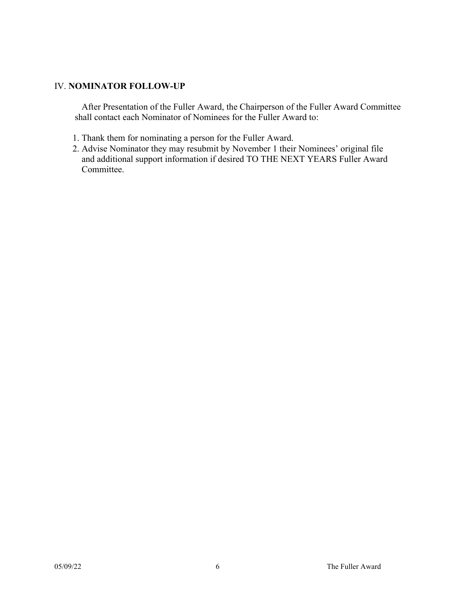#### IV. **NOMINATOR FOLLOW-UP**

 After Presentation of the Fuller Award, the Chairperson of the Fuller Award Committee shall contact each Nominator of Nominees for the Fuller Award to:

- 1. Thank them for nominating a person for the Fuller Award.
- 2. Advise Nominator they may resubmit by November 1 their Nominees' original file and additional support information if desired TO THE NEXT YEARS Fuller Award Committee.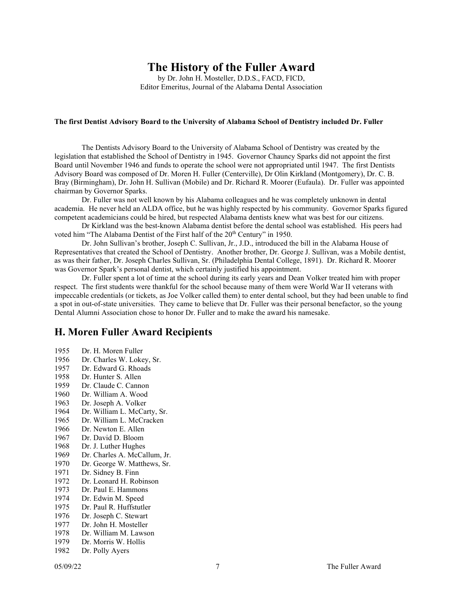## **The History of the Fuller Award**

by Dr. John H. Mosteller, D.D.S., FACD, FICD, Editor Emeritus, Journal of the Alabama Dental Association

#### **The first Dentist Advisory Board to the University of Alabama School of Dentistry included Dr. Fuller**

The Dentists Advisory Board to the University of Alabama School of Dentistry was created by the legislation that established the School of Dentistry in 1945. Governor Chauncy Sparks did not appoint the first Board until November 1946 and funds to operate the school were not appropriated until 1947. The first Dentists Advisory Board was composed of Dr. Moren H. Fuller (Centerville), Dr Olin Kirkland (Montgomery), Dr. C. B. Bray (Birmingham), Dr. John H. Sullivan (Mobile) and Dr. Richard R. Moorer (Eufaula). Dr. Fuller was appointed chairman by Governor Sparks.

Dr. Fuller was not well known by his Alabama colleagues and he was completely unknown in dental academia. He never held an ALDA office, but he was highly respected by his community. Governor Sparks figured competent academicians could be hired, but respected Alabama dentists knew what was best for our citizens.

Dr Kirkland was the best-known Alabama dentist before the dental school was established. His peers had voted him "The Alabama Dentist of the First half of the 20<sup>th</sup> Century" in 1950.

Dr. John Sullivan's brother, Joseph C. Sullivan, Jr., J.D., introduced the bill in the Alabama House of Representatives that created the School of Dentistry. Another brother, Dr. George J. Sullivan, was a Mobile dentist, as was their father, Dr. Joseph Charles Sullivan, Sr. (Philadelphia Dental College, 1891). Dr. Richard R. Moorer was Governor Spark's personal dentist, which certainly justified his appointment.

Dr. Fuller spent a lot of time at the school during its early years and Dean Volker treated him with proper respect. The first students were thankful for the school because many of them were World War II veterans with impeccable credentials (or tickets, as Joe Volker called them) to enter dental school, but they had been unable to find a spot in out-of-state universities. They came to believe that Dr. Fuller was their personal benefactor, so the young Dental Alumni Association chose to honor Dr. Fuller and to make the award his namesake.

### **H. Moren Fuller Award Recipients**

- 1955 Dr. H. Moren Fuller
- 1956 Dr. Charles W. Lokey, Sr.
- 1957 Dr. Edward G. Rhoads
- 
- 1958 Dr. Hunter S. Allen<br>1959 Dr. Claude C. Canne Dr. Claude C. Cannon
- 1960 Dr. William A. Wood
- 
- 1963 Dr. Joseph A. Volker<br>1964 Dr. William L. McCar Dr. William L. McCarty, Sr.
- 1965 Dr. William L. McCracken
- 1966 Dr. Newton E. Allen
- 1967 Dr. David D. Bloom
- 1968 Dr. J. Luther Hughes
- 1969 Dr. Charles A. McCallum, Jr.<br>1970 Dr. George W. Matthews, Sr.
- Dr. George W. Matthews, Sr.
- 1971 Dr. Sidney B. Finn
- 1972 Dr. Leonard H. Robinson<br>1973 Dr. Paul E. Hammons
- Dr. Paul E. Hammons
- 1974 Dr. Edwin M. Speed
- 1975 Dr. Paul R. Huffstutler<br>1976 Dr. Joseph C. Stewart
- Dr. Joseph C. Stewart
- 1977 Dr. John H. Mosteller
- 1978 Dr. William M. Lawson<br>1979 Dr. Morris W. Hollis
- Dr. Morris W. Hollis
- 1982 Dr. Polly Ayers